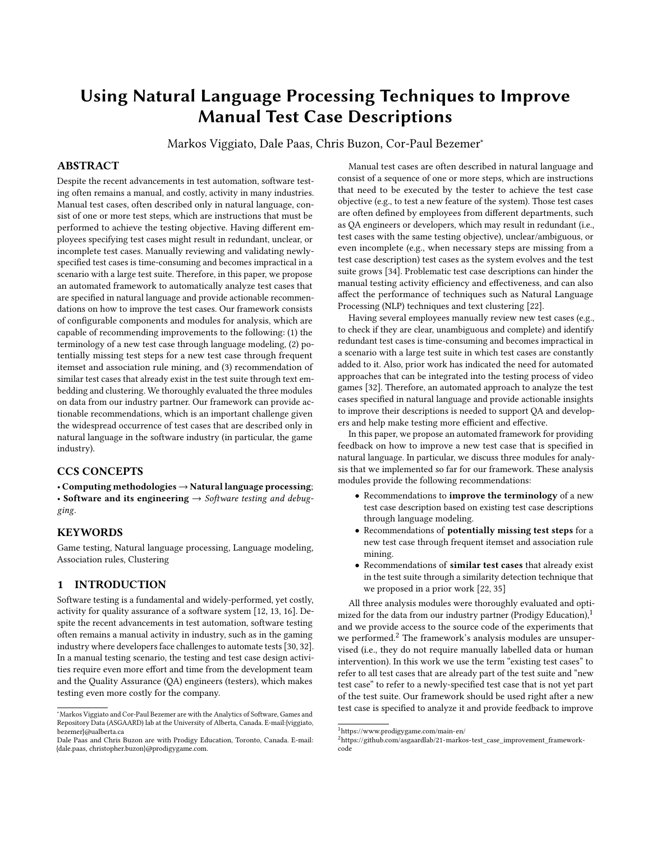# Using Natural Language Processing Techniques to Improve Manual Test Case Descriptions

Markos Viggiato, Dale Paas, Chris Buzon, Cor-Paul Bezemer<sup>∗</sup>

# ABSTRACT

Despite the recent advancements in test automation, software testing often remains a manual, and costly, activity in many industries. Manual test cases, often described only in natural language, consist of one or more test steps, which are instructions that must be performed to achieve the testing objective. Having different employees specifying test cases might result in redundant, unclear, or incomplete test cases. Manually reviewing and validating newlyspecified test cases is time-consuming and becomes impractical in a scenario with a large test suite. Therefore, in this paper, we propose an automated framework to automatically analyze test cases that are specified in natural language and provide actionable recommendations on how to improve the test cases. Our framework consists of configurable components and modules for analysis, which are capable of recommending improvements to the following: (1) the terminology of a new test case through language modeling, (2) potentially missing test steps for a new test case through frequent itemset and association rule mining, and (3) recommendation of similar test cases that already exist in the test suite through text embedding and clustering. We thoroughly evaluated the three modules on data from our industry partner. Our framework can provide actionable recommendations, which is an important challenge given the widespread occurrence of test cases that are described only in natural language in the software industry (in particular, the game industry).

# CCS CONCEPTS

• Computing methodologies → Natural language processing; • Software and its engineering  $\rightarrow$  Software testing and debugging.

# **KEYWORDS**

Game testing, Natural language processing, Language modeling, Association rules, Clustering

# 1 INTRODUCTION

Software testing is a fundamental and widely-performed, yet costly, activity for quality assurance of a software system [\[12,](#page-9-0) [13,](#page-9-1) [16\]](#page-9-2). Despite the recent advancements in test automation, software testing often remains a manual activity in industry, such as in the gaming industry where developers face challenges to automate tests [\[30,](#page-9-3) [32\]](#page-9-4). In a manual testing scenario, the testing and test case design activities require even more effort and time from the development team and the Quality Assurance (QA) engineers (testers), which makes testing even more costly for the company.

Manual test cases are often described in natural language and consist of a sequence of one or more steps, which are instructions that need to be executed by the tester to achieve the test case objective (e.g., to test a new feature of the system). Those test cases are often defined by employees from different departments, such as QA engineers or developers, which may result in redundant (i.e., test cases with the same testing objective), unclear/ambiguous, or even incomplete (e.g., when necessary steps are missing from a test case description) test cases as the system evolves and the test suite grows [\[34\]](#page-9-5). Problematic test case descriptions can hinder the manual testing activity efficiency and effectiveness, and can also affect the performance of techniques such as Natural Language Processing (NLP) techniques and text clustering [\[22\]](#page-9-6).

Having several employees manually review new test cases (e.g., to check if they are clear, unambiguous and complete) and identify redundant test cases is time-consuming and becomes impractical in a scenario with a large test suite in which test cases are constantly added to it. Also, prior work has indicated the need for automated approaches that can be integrated into the testing process of video games [\[32\]](#page-9-4). Therefore, an automated approach to analyze the test cases specified in natural language and provide actionable insights to improve their descriptions is needed to support QA and developers and help make testing more efficient and effective.

In this paper, we propose an automated framework for providing feedback on how to improve a new test case that is specified in natural language. In particular, we discuss three modules for analysis that we implemented so far for our framework. These analysis modules provide the following recommendations:

- Recommendations to improve the terminology of a new test case description based on existing test case descriptions through language modeling.
- Recommendations of potentially missing test steps for a new test case through frequent itemset and association rule mining.
- Recommendations of similar test cases that already exist in the test suite through a similarity detection technique that we proposed in a prior work [\[22,](#page-9-6) [35\]](#page-9-7)

All three analysis modules were thoroughly evaluated and optimized for the data from our industry partner (Prodigy Education), $1$ and we provide access to the source code of the experiments that we performed.<sup>[2](#page-0-1)</sup> The framework's analysis modules are unsupervised (i.e., they do not require manually labelled data or human intervention). In this work we use the term "existing test cases" to refer to all test cases that are already part of the test suite and "new test case" to refer to a newly-specified test case that is not yet part of the test suite. Our framework should be used right after a new test case is specified to analyze it and provide feedback to improve

<sup>∗</sup>Markos Viggiato and Cor-Paul Bezemer are with the Analytics of Software, Games and Repository Data (ASGAARD) lab at the University of Alberta, Canada. E-mail:{viggiato, bezemer}@ualberta.ca

Dale Paas and Chris Buzon are with Prodigy Education, Toronto, Canada. E-mail: {dale.paas, christopher.buzon}@prodigygame.com.

<span id="page-0-0"></span><sup>1</sup><https://www.prodigygame.com/main-en/>

<span id="page-0-1"></span><sup>2</sup>[https://github.com/asgaardlab/21-markos-test\\_case\\_improvement\\_framework](https://github.com/asgaardlab/21-markos-test_case_improvement_framework-code)[code](https://github.com/asgaardlab/21-markos-test_case_improvement_framework-code)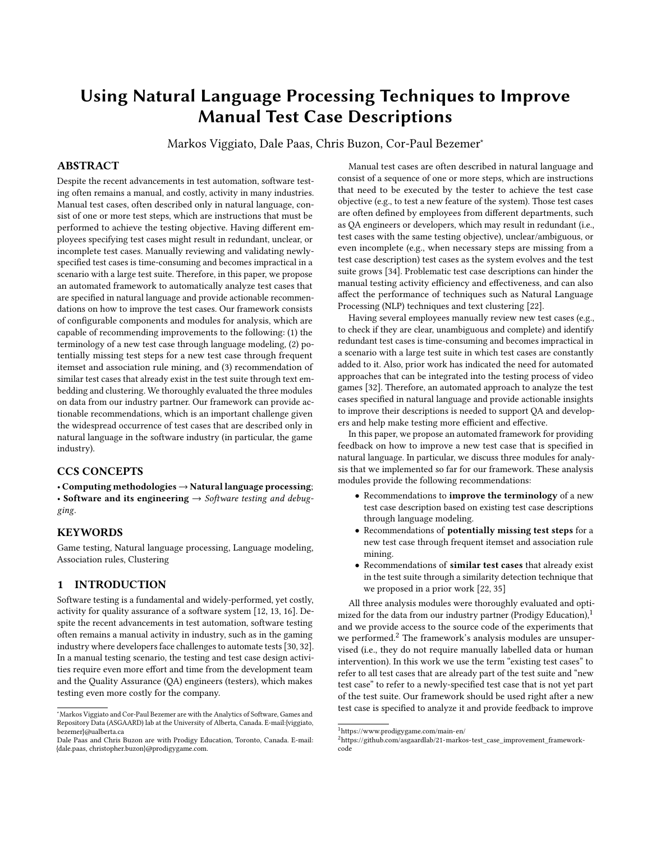<span id="page-1-1"></span>

Figure 1: Our automated framework for analysis and feedback of test cases in natural language.

the test case description. Then, the improved test case can be added to the test suite and manually executed.

The goal of our framework is to help QA engineers and developers to reduce the time and effort needed for manual testing by improving the overall quality of test cases that are described in natural language. The framework also supports the creation and maintenance of a high-quality, more consistent and more standardized test suite. In particular, our framework can be useful and benefit new employees who do not yet have much knowledge about the existing test suite. Furthermore, a more consistent test suite can reduce the challenges when automating tests in the future [\[22\]](#page-9-6) as the overall quality and consistency of the test suite will be higher.

The remainder of the paper is structured as follows. In Section [2,](#page-1-0) we explain our framework. In Sections [3,](#page-2-0) [4,](#page-6-0) and [5,](#page-7-0) we detail the approaches that were used to implement the framework's analysis modules, with the performed experiments and the results. We then present related work and threats to validity in Sections [6](#page-8-0) and [7.](#page-8-1) Finally, we conclude the paper in Section [8.](#page-8-2)

# <span id="page-1-0"></span>2 OUR AUTOMATED FRAMEWORK FOR ANALYSIS AND FEEDBACK

Our automated framework provides feedback to improve the description of the test cases designed to test the *Prodigy Math game*, which is a proprietary, online, web-based educational math game with more than 100 million users around the world. The game has a curriculum-aligned educational content and features over 50,000 math questions spanning Grade 1-8. It is an RPG-style game, which means that players play the role of a character (a wizard) in the Prodigy world and can go to the several different world zones available in the game. As the players answer math questions, their wizards can evolve, learn new spells, and acquire new equipment and in-game items. While the game is available to every student, there is an optional membership subscription, that allows members to have an increased level of character customization, level up faster, among other benefits not available to non-members. The membership is not required to access the in-game curriculum-aligned content.

Our framework consists of three main components, which correspond to the steps that are performed: data preparation, analysis, and report generation. The framework's analysis component consists of individual configurable modules. Each module implements

an approach that provides a different capability regarding automated analysis and feedback for test cases that are described in natural language. New modules with new capabilities can be easily added to the framework. Figure [1](#page-1-1) presents an overview of our automated framework, which currently consists of the following components and modules:

- Data preparation component
- Analysis component, which currently contains modules for the following: (1) terminology improvement, and analyzing (2) missing test steps and (3) similar test cases.
- Report generation component

The three implemented modules within the analysis component were driven based on our experience at Prodigy and reports from experienced QA engineers and developers that indicated the need to support these types of test case improvements. Furthermore, prior work highlighted the need for more consistent and standard test case descriptions in a manual testing scenario and automated approaches to better support the testing process of games [\[22,](#page-9-6) [32\]](#page-9-4).

Our framework first reads and pre-processes the data from existing and new test cases (data preparation component). Then, the pre-processed data is fed into one or more modules (analysis component) and the framework generates a report with the modules' outputs (report generation component). Each analysis module takes the data through a training and an inference phase. In the training phase, users can train new models using the pre-processed existing test cases. In the inference phase, users can use the trained models to analyze a new test case. The modules are independent from each other and can be enabled or disabled depending on the desired analysis that the users wish to perform. Next, we demonstrate each framework's component using the test case examples in Table [1.](#page-2-1)

## 2.1 Data preparation component

This component loads and pre-processes the data. The input to our approach consists of unprocessed test cases that are written in natural language: there is no source code available for these test cases. Each test case contains one or more test steps, which each give an instruction that must be manually performed by a human tester. Table [1](#page-2-1) presents examples of two test cases TC1 and TC2 from the Prodigy game. TC1 is already in the test suite and TC2 is about to be added to it (and hence is not used to train the models in the analysis modules). Each test case has a name, an objective, and one or more test steps.

We applied several pre-processing steps to each test case's name, objective and test step(s). We used tokenization to transform the sentences into lists of words. We then removed stop words (e.g., "of" and "the") as they do not add meaning to the text. Finally, we converted all words to their root form (lemmatization), such as "playing" to "play", to have more consistent terminology. The data preparation component can be adapted if users wish to apply other pre-processing steps for an analysis module.

#### 2.2 Analysis component

2.2.1 Module: terminology improvement analysis. This module uses the pre-processed test cases to train models to analyze the terminology of test cases. The models are then used to recommend improvements by identifying words in the description that could be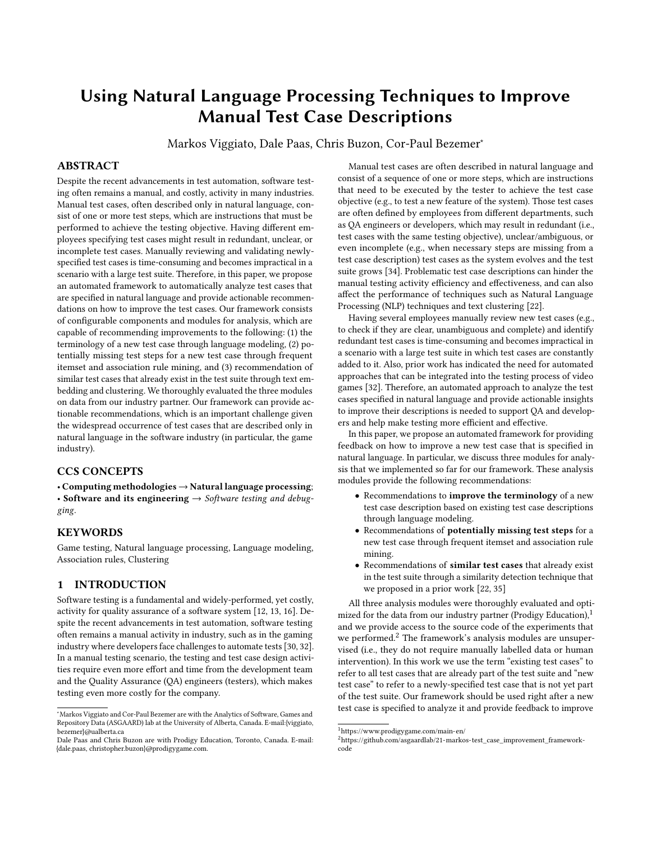<span id="page-2-1"></span>Using Natural Language Processing Techniques to Improve Manual Test Case Descriptions ICSE-SEIP 2022, May 21-29, Pittsburgh, USA

| Test case name               | Test case objective                                                 | Test step identifier | Test step                                          |  |
|------------------------------|---------------------------------------------------------------------|----------------------|----------------------------------------------------|--|
| Membership purchase<br>(TC1) | Verify the membership<br>flow through the HUD<br>(Heads Up Display) | TS <sub>1</sub>      | Log into the game with a non-member account        |  |
|                              |                                                                     | TS2                  | Go to the membership page                          |  |
|                              |                                                                     | TS3                  | Click on the member icon in the HUD                |  |
|                              |                                                                     | TS4                  | Click on "Continue to buy a membership"            |  |
|                              |                                                                     | TS5                  | Go through the membership flow and become a member |  |
|                              |                                                                     | TS6                  | Verify that the user is a member                   |  |
| Membership flow<br>(TC2)     | User successfully<br>purchases membership                           | TS7                  | Log into the game with a child account             |  |
|                              |                                                                     | TS8                  | Go through the membership flow and become a member |  |
|                              |                                                                     | TS9                  | Verify that the user is a member                   |  |

Table 1: Examples of test case descriptions from the Prodigy game.

replaced by more likely alternatives, based on their usage in existing test cases. For our example test case (TC2) in Table [1,](#page-2-1) the top-3 recommendations of this module are to change the word child to member, non-member, or student in test step TS7:



Using the original word child makes the test step unclear (as we are not sure which type of child account should be used as there are different ones) and would require further clarification with other QA engineers or developers. For example, replacing child with nonmember, would be more appropriate as the tester would be aware that an account of the non-member type must be used to verify if a non-member can purchase the membership.

2.2.2 Module: missing test step analysis. This module analyzes how test steps of the existing test cases appear together to assess a new test case's completeness. The module builds a model that recommends potentially missing test steps for the new test case based on test steps that frequently appear together across the existing test cases. For test case TC2, this module recommends to add the test step TS2 ("Go to the membership page"):



TS2 ("Go to the membership page") appears in the test case TC1 but is missing from the new test case. Adding TS2 to TC2 can help the tester to execute the test more efficiently as a clearer direction is given (instructing the tester to go to the membership page).

2.2.3 Module: test case similarity analysis. This module trains a model with the pre-processed descriptions of existing test cases to identify and retrieve test cases that have a testing objective or test steps which are similar to the ones of a new test case. For test case TC2, this module retrieves TC1 as a similar test case. TC1 has a similar testing objective as TC2 (which is to go through the membership flow and assure that a user can purchase the membership) and similar, but more detailed test steps, which can be help to improve

the new test case. Identifying similar test cases that are already in the test suite also helps avoid adding redundant test cases.

## 2.3 Report generation component

The purpose of this component is to aggregate the outputs of each used analysis module and present the results in a single report to QA engineers and developers.

## 2.4 Using the framework in practice

All the functionalities of our framework are provided through a web API, which can be used, for instance, to build other applications that rely on our framework. We are currently working to integrate our framework with Prodigy's data warehouse and cloud infrastructure through a web application that can be easily used by Prodigy's QA engineers and developers. The application allows users to perform the automated analysis and visualize the generated report with the results in a usable way. Users can also choose which module they want to execute and provide additional configurations to the techniques used for the analysis (e.g., if our recommendations of similar test cases are too broad, users can increase the similarity threshold and less recommendations will be provided). Furthermore, the web application allows users to automatically apply the recommended changes to the new test case, making the use of our framework more efficient. We discuss the experiments to train and evaluate the models for each module in Sections [3,](#page-2-0) [4,](#page-6-0) and [5.](#page-7-0)

## 2.5 A description of our dataset

To build the models and perform the experiments for each module that we previously discussed, we collected all the 3,323 test case descriptions written in natural language from the Prodigy test suite. The test cases under study were manually designed to test the Prodigy Math game. In total, the test cases in our data set contain 15,644 steps, with an average of 4.82 test steps per test case and a vocabulary size of 2,701 unique words across all the test cases.

# <span id="page-2-0"></span>3 THE TERMINOLOGY IMPROVEMENT ANALYSIS MODULE

Our approach for recommending terminology improvements consists of using statistical and neural language models to analyze the description of a test case and identify words that should be replaced by more likely words. We train unidirectional and bidirectional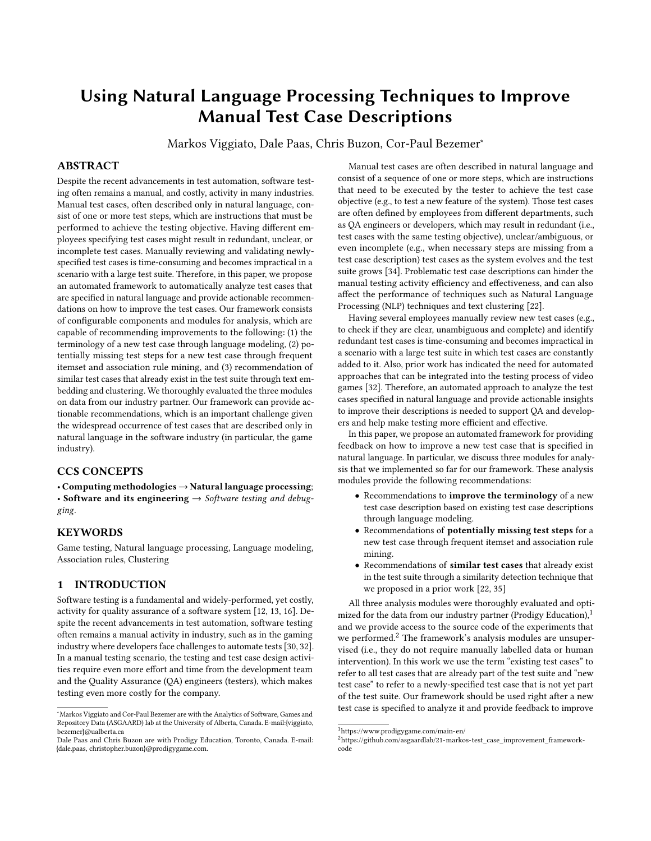n-grams, BERT-based models, and a combination of both types. We then use the characteristics of the sentences in the test case description to choose the most suitable model to identify words in the description that can be replaced by more likely words. Figure [2](#page-4-0) presents an overview of our approach to recommend terminology improvements to test cases, which consists of a training phase, evaluation of the models, and inference phase as we explain below.

## 3.1 Training phase

The test case descriptions in our dataset have sentences with very different lengths, ranging from 3 words to more than 30 words. Furthermore, even though many test cases have a similar terminology, as new features are included in the game, new test cases with a terminology that is different from the existing ones are added to the test suite. Based on the characteristics of our data, we chose two different types of language models to be evaluated: statistical models (n-grams) and neural models (BERT-based models).

Statistical models such as the n-gram capture regularities in the corpus used to build the model and perform well with highly predictable corpora that have repetitive patterns [\[18\]](#page-9-8), which often appear in our data. N-gram is a popular generative statistical language model that estimates the probabilities based on the frequency with which words appears in the training corpus (a.k.a. the *maxi*mum likelihood estimate) [\[7,](#page-9-9) [18,](#page-9-8) [19\]](#page-9-10). For any sequence s of words:  $w_1w_2w_3w_4\cdots w_n$ , a common way of estimating the probability of a word is to use a fixed-size window of (n-1) context words. For example, using a bigram, the probability of  $w_i$  depends only on  $w_{i-1}$  and uses the number of times  $w_{i-1}w_i$  appeared in the training corpus relative to the number of times that  $w_{i-1}$  appeared:

$$
p(w_i|w_1 \cdots w_{i-1}) = p(w_i|w_{i-1}) = \frac{count(w_{i-1}w_i)}{count(w_{i-1})}
$$

N-gram models have been traditionally used for the next word prediction task, in which only the leftward context words are used to predict the next word (unidirectional n-gram) [\[19,](#page-9-10) [23\]](#page-9-11). However, in our work, we also experiment with n-gram models to perform the fill-in-the-blank task as both leftward and rightward context words are available (bidirectional n-gram) [\[9\]](#page-9-12).

Neural models present several benefits over n-grams. For example, neural models can handle longer dependencies in a sentence, which can be an advantage for the longer sentences in our data. Also, neural models generalize better than statistical models [\[4,](#page-9-13) [28\]](#page-9-14), which can be advantageous for cases with an unseen context (e.g., when a new test case with new terminology is added to the test suite). In particular, transformer-based neural language models have shown a higher performance than other types of neural models (e.g., RNN/LSTM) [\[21\]](#page-9-15) and have achieved the state-of-the-art performance in many NLP tasks [\[23,](#page-9-11) [31\]](#page-9-16). In our work, we use transformer-based neural language models because they outperform other neural architectures and there are several large pretrained models available [\[39\]](#page-9-17).

3.1.1 Training n-gram language models. We trained unidirectional and bidirectional unigram, bigram, trigram, 4-gram, and 5-gram models. For n-grams with an order above 1 (bigram, trigram, and so on), a word might appear in a context in the test set that has not appeared in the training set. To avoid having a zero probability prediction and to have a usable prediction, we adopt a simple and effective smoothing technique called stupid backoff [\[6,](#page-9-18) [18,](#page-9-8) [19\]](#page-9-10). In this case, if the model has not seen a certain 5-gram, for example, it can back off from the 5-gram and use the probabilities of the 4-gram, and so on. To handle the cases in which an unknown (out-of-vocabulary) word appears in the test set, we introduce a new token <unk> in our vocabulary, which replaces rare words (a random sample of words that occur only once in our corpus). We then estimate the probabilities for the <unk> token from its counts just like another regular word [\[8,](#page-9-19) [19\]](#page-9-10). Also, an n-gram model automatically backs off to a lower-order if the length of the context word sequence is smaller than  $n$ . For example, when using a unidirectional 4-gram and analyzing the third word of a sentence, there are only two words on the left, so the model uses a trigram (two context words plus the target word). Finally, for the bidirectional n-gram, we estimate the probability of a word  $w_i$  by averaging the probability using the leftward words and the probability using the rightward words, as shown below for a bigram:

$$
p(w_i|w_{i-1}w_{i+1}) = \frac{p_{\text{left}}(w_i|w_{i-1}) + p_{\text{right}}(w_i|w_{i+1})}{2}
$$

3.1.2 Training BERT-based language models. To train our BERTbased language model, we used the BertForMaskedLM class from Huggingface [\[39\]](#page-9-17) with a pre-trained model. To tokenize the data and format it as required by BERT, we used BERT's own tokenizer provided by Huggingface. Finally, similarly to what was originally performed to train BERT from scratch [\[10\]](#page-9-20), we fine-tuned the pretrained BERT-based models with the masked language modeling objective by randomly masking 15% of the words in the training data. We evaluated three pre-trained models: BERT base uncased (trained on lower-cased English text), DistilBERT base uncased (a light transformer model based on BERT base uncased), and BERT large uncased whole word masking (which was trained using whole word masking). For each of the three pre-trained models, we also evaluated their fine-tuned versions. For simplicity, we will use these names to refer to the used BERT models: BERT for BERT base uncased, DistilBERT for DistilBERT base uncased, and BERT whole word for BERT large uncased whole word masking.

### 3.2 Evaluation

3.2.1 Evaluation setup. To train and evaluate the language models, we used all the data that we collected (test case name, objective and steps). We shuffled the data and split it into training (80%) and testing (20%) sets. For this approach, a preliminary analysis showed that keeping the stop words and words in their original format (i.e., not performing lemmatization) increases the language models' performance as more context information is available. We used the intrinsic evaluation metric called perplexity [\[8,](#page-9-19) [18,](#page-9-8) [19\]](#page-9-10). A good language model can capture the patterns and regularities of the training corpus and should be able to predict the words in a new sequence W that comes from the same population as the training one with a high probability. That is, the model should not be "perplexed" by that new sequence. Perplexity (PP) can be defined as follows:

$$
PP(W) = \sum_{i=1}^{N} \underbrace{\bigotimes_{i=1}^{N} \frac{1}{P(w_i \mid w_1 \dots w_{i-1})}}_{(1)}
$$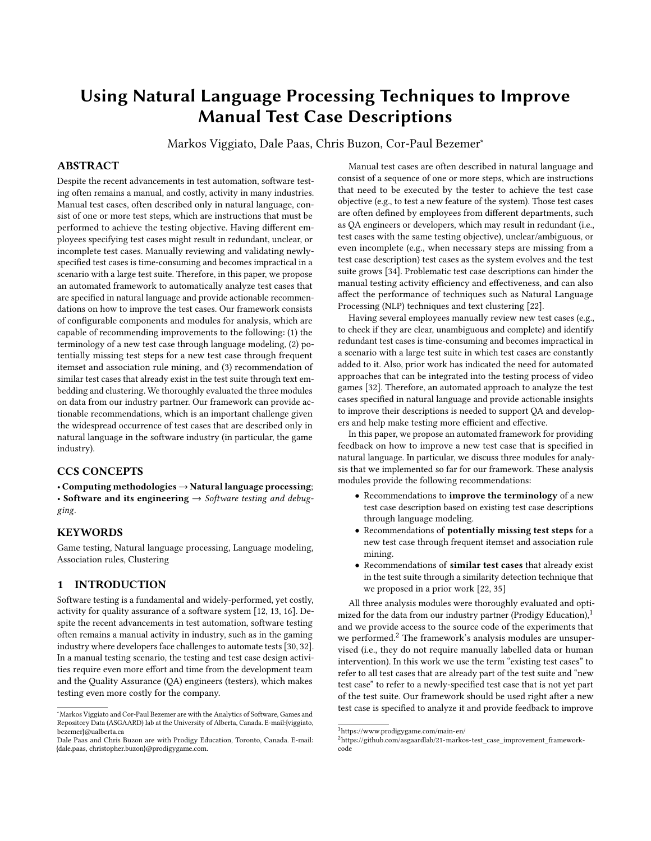<span id="page-4-0"></span>Using Natural Language Processing Techniques to Improve Manual Test Case Descriptions ICSE-SEIP 2022, May 21-29, Pittsburgh, USA



Figure 2: Our approach for recommending terminology improvements with n-grams and BERT-based language models (LMs).

Where  $W$  is a sequence of words and  $P$  is the conditional probability of  $w_i$  given the context words. Since a good model should assign a high probability to a new sequence of words and the perplexity is inversely related to the probability, the better the model, the higher the probabilities, and the lower the perplexity, which leads to a better generalization of the model [\[5\]](#page-9-21). We compare the distributions of perplexity for the different models with the non-parametric Wilcoxon rank-sum test [\[38\]](#page-9-22) and compute the magnitude of the distribution difference with Cliff's delta effect size [\[24,](#page-9-23) [33\]](#page-9-24).

3.2.2 Evaluation results. Figure [3](#page-4-1) presents the distributions of the perplexity metric for all the evaluated models across the testing set (each data point corresponds to the perplexity of a sentence in the testing set). Figure [3a](#page-4-1) shows that for unidirectional n-grams, the unigram is the worst n-gram as it presents the highest perplexity median (94.95) and the higher the order of the n-gram, the lower the median perplexity (i.e., the better the model), with the trigram, 4-gram, and 5-gram presenting very similar median perplexities (12.41, 12.79, and 12.68, respectively). The bidirectional n-grams present a similar behavior across different n-gram orders, but with even lower perplexities. When comparing the unidirectional and bidirectional distributions for each n-gram order, the Wilcoxon rank-sum test shows that for all of them, except the unigram, the distributions are significantly different, with a medium Cliff's delta effect size. This shows that the bidirectional n-grams indeed achieve better performance. When we compare the distributions among the bidirectional n-gram models only, the bigram distribution is significantly different from higher-order n-grams, but with a small Cliff's delta effect size. However, there is no statistically significant difference between the distributions of the trigram, 4-gram, and 5 gram models (all with a negligible effect size). In practice, a trigram seems enough in our case, but given the low n-gram computational cost, we use the best-performing model (bidirectional 5-gram) in our approach for test case terminology improvement.

<span id="page-4-1"></span>

(a) Perplexity of n-gram models. (b) Perplexity of BERT models.

Figure 3: Distributions of the perplexity\* metric of the evaluated language models. \*Log-transformed perplexity for better visualization.

Figure [3b](#page-4-1) presents the perplexity distribution for the BERT-based models. For the pre-trained models, DistilBERT presents the highest median perplexity (32k), followed by BERT (520.64) and BERT whole word which has the lowest median perplexity (76.16). Fine-tuned models present a similar behavior, but with lower perplexities, with BERT whole word also having the lowest median perplexity (45.97). Except for DistilBERT, fine-tuning improves the model's performance by reducing the perplexity of the model as it sees new sequences. When comparing the distributions between the pre-trained and fine-tuned models, the Wilcoxon rank-sum test shows that for all the three types of models there is a statistically significant difference between the distributions, with a large effect size for DistilBERT, a small effect size for BERT, and a negligible effect size for BERT whole word.

3.2.3 Comparing N-gram and BERT-based language models. Since we cannot use perplexity to compare models built with different vocabularies [\[8,](#page-9-19) [19\]](#page-9-10), we used a recommendation system-like metric (accuracy@k) to compare the best-performing n-gram (bidirectional 5-gram) to the best-performing BERT-based model (fine-tuned BERT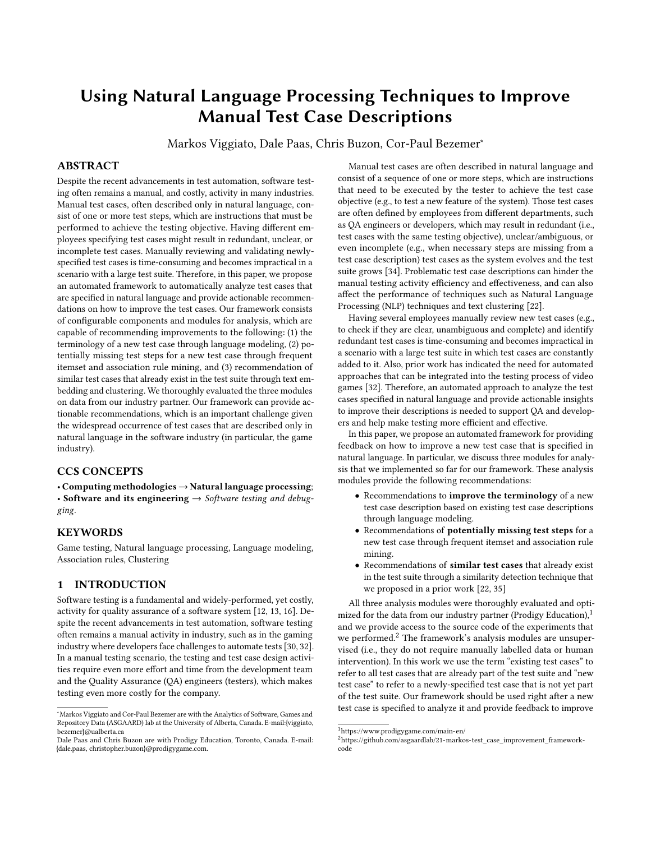| Language model                             | <b>Entire testing set</b> |       | Short test step sentence |          |       | Long test step sentence |       |       |        |
|--------------------------------------------|---------------------------|-------|--------------------------|----------|-------|-------------------------|-------|-------|--------|
|                                            | acc@3                     | acc@5 | acc@10                   | acc@3    | acc@5 | acc@10                  | acc@3 | acc@5 | acc@10 |
| Bidirectional 5-gram                       | 0.67                      | 0.71  | 0.75                     | 0.34     | 0.5   | $0.5^{\circ}$           | 0.81  | 0.84  | 0.86   |
| Fine-tuned BERT whole word*                | 0.17                      | 0.22  | 0.25                     | $\Omega$ | 0     | 0.17                    | 0.21  | 0.27  | 0.30   |
| $N$ -gram <sub>unseen-context</sub> + BERT | 0.67                      | 0.70  | 0.75                     | 0.34     | 0.5   | $0.5^{\circ}$           | 0.84  | 0.85  | 0.88   |

<span id="page-5-0"></span>Table 2: Median accuracy@k (acc@k) for combinations of different types of language models. \*BERT whole word refers to the BERT large uncased whole word masking model.

whole word). We compared their performance for our task (word recommendation). To compute the *accuracy@k*, we first translate the problem of word recommendation to a binary problem. Suppose we are analyzing a test step composed of a sequence of words  $w_1w_2\cdots w_n$ . We mask one word at a time (i.e., replace the word by the [mask] token, as shown in Figure [2\)](#page-4-0) and get the top-k most likely words predicted by the language model for each masked word. For the top-k words predicted by a model for a single masked word, if the original word is among the k predictions, we consider it a correct recommendation (1), otherwise, we consider it a wrong recommendation (0). Then, we have a correct (1) or wrong (0) recommendation for each masked word in a test step sentence, and compute the  $accuracy@k$  for the whole test step sentence as: count(correct suggestions) count(all suggestions) . We evaluated the bidirectional 5-gram and The fine-tuned BERT whole word models on the entire testing set

using top-3, top-5, and top-10 suggestions. Table [2](#page-5-0) shows the median  $accuracy@k$  for both models across the entire testing set in the Entire testing set column (we computed the  $accuracy@k$  for each test step in the testing set and calculated the median), for which the bidirectional 5-gram performed better than BERT whole word for  $k \in \{3, 5, 10\}$ .

To further understand the scenarios in which the bidirectional 5-gram and fine-tuned BERT whole word models fail, we manually inspected a sample of test steps for which either the n-gram has an  $accuracy@10$  of zero and BERT has an  $accuracy@10$  of one, or viceversa. We focused on the cases where one model is totally unable to provide a correct recommendation (even recommending the top-10) while the other provides all the recommendations correctly to be able to identify the characteristics that might cause one model to fail but not the other. This allows us to better understand in which scenarios we can combine both models. We made two observations: (1) the n-gram model performs very well when context words were seen during training but the performance degrades when the model needs to back off until reaching the unigram (because of unseen context) and the n-gram's prediction probability is low (even for the first-ranked predicted word) and (2) BERT struggles to make correct predictions when the test step has very domain-specific terms and is short (in terms of number of words).

Using those two observations with the fact that BERT usually outperforms other language models for long sentences, we also evaluated a combination of the bidirectional 5-gram with BERT whole word for different lengths of test steps. Using the distribution of number of words per test step in our data, we split the testing set into two groups: short test step sentences (less than 5 words, which correspond to the bottom 20% of the testing set) and long

test step sentences (more than 12 words, which corresponds to the top 20% of the testing set). To combine the bidirectional 5 gram with BERT whole word, we adopt the following procedure: for each masked word in a test step sentence, we verify if the n-gram backed-off until the unigram to make the prediction (i.e., if the ngram found an unseen context) and if the n-gram probability for the first-ranked word is lower than 0.5 (empirically defined). If those conditions occur, we assume that the BERT predictions are more reliable (since in an unseen context, more generalizable models, e.g. BERT, perform better) and use them. Otherwise, we keep the n-gram predictions. Our goal is to evaluate if switching to the predictions made by BERT whole word boosts the overall performance of word recommendation for different test step sentence lengths.

Table [2](#page-5-0) shows the performance of the combined models (Ngramunseen-context + BERT) and how it compares to each individual model's performance for all the sentence length scenarios. Using both the entire testing set or only short sentences, the performance of the bidirectional 5-gram is superior than BERT whole word's performance for the top-3, top-5, and top-10 predictions. That is, using the combined N-gramunseen-context + BERT does not increase the performance. However, for longer test step sentences, the combined the models increases the performance compared to each model's individual performances. For the top-3 predictions, the accuracy@3 increased from 0.81 to 0.84 (almost 4%), while the *accuracy@5* increased from 0.84 to 0.85 (around 1.2%) and the accuracy@10 increased from 0.86 to 0.88 (around 2.3%).

# 3.3 Inference phase

Finally, in the inference phase, we apply the best-performing ngram and BERT-based models (bidirectional 5-gram and BERT whole word) to analyze the test steps of a new test case and recommend improvements if necessary. We follow a similar process as we did to compare the n-gram to the BERT model: we mask each word at a time in the test step sentence and get the top-k predictions from the n-gram. Then, we verify if (1) the n-gram backed off to the unigram, (2) the n-gram has a prediction probability less than 0.5 for the first-ranked word, and (3) the sentence length is above 12 words. If all the three conditions occur, we use the bidirectional 5 gram combined with the BERT whole word model, otherwise we use only the bidirectional 5-gram. Then, if the original word is among the top-k predicted words, the most appropriated word is already being used, so we do not recommend any changes. Otherwise, we present the recommendations to the user. Note that we filter out stop word-related recommendations as they do not meaningfully improve the test case descriptions.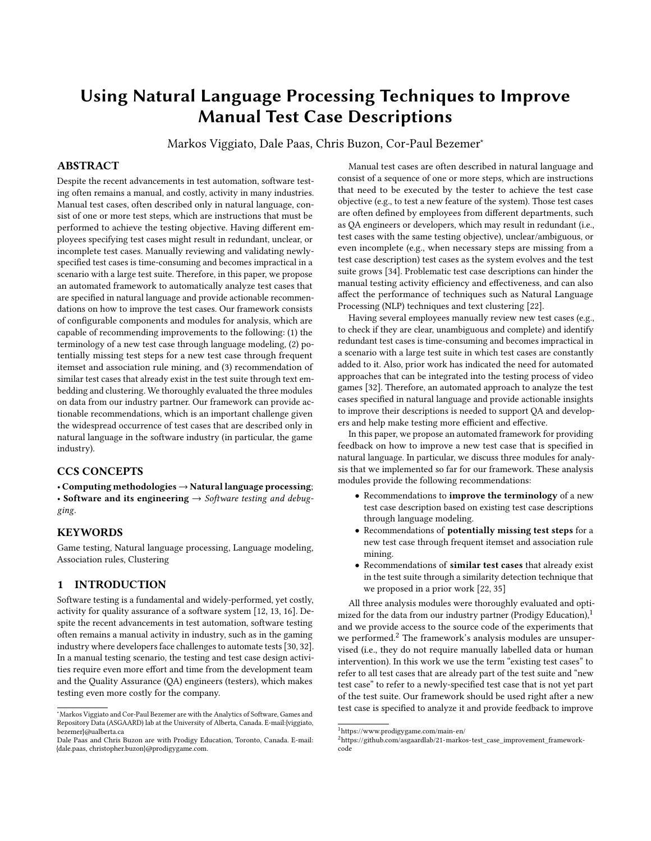Using Natural Language Processing Techniques to Improve Manual Test Case Descriptions ICSE-SEIP 2022, May 21-29, Pittsburgh, USA

<span id="page-6-1"></span>

Figure 4: Our approach for recommending missing test steps using association rules.

# <span id="page-6-0"></span>4 THE MISSING TEST STEP ANALYSIS MODULE

Our approach for recommending test steps that are missing from test cases first trains a model to identify sets of test steps that frequently appear together in existing test cases and then builds association rules based on those sets. The high-confidence rules are then used to recommend test steps that are missing from a new test case. Figure [4](#page-6-1) presents an overview of our approach for recommending missing test steps, which consists of a training phase, evaluation of the model, and inference phase as we explain below.

## 4.1 Training phase

4.1.1 Named Entity Recognition (NER). Our approach first trains a Named Entity Recognition (NER) model to identify proper names of game assets (e.g., in-game items and game zones) in the test steps and replace the assets' names by the related entity. In our test cases, similar test steps are executed to test different assets in the game. For example, suppose the following steps are used to test if a user can purchase item A: ["Log into the game", "Purchase item A", "Verify item A is part of the student's asset list", "Log out of the game"]. Now, suppose that a new item B is added to the game and a new test case is added to the test suite to test if a user can purchase item B: ["Log into the game", "Purchase item B", "Verify item B is part of the student's asset list", "Log out of the game"]. The second and third steps of test cases for A and B are textually different but have the exact same meaning (the tester performs the same action just with different items). Those steps are considered different items when we use a frequent itemset technique. By replacing the item names  $(A \text{ and } B)$  with a placeholder that represents the entity (e.g., asset\_item), the second and third steps become the same item for the mining technique and we can successfully identify the frequent test steps and association rules. By using the NER model, our approach for recommending missing steps becomes agnostic to such named entities and flexible to support the evolution of the game since different assets (e.g., items) are frequently added to the game. Note that a pure keyword-based search is infeasible since asset names might appear written differently in test cases (e.g., a mix of lowercase and uppercase, different spacing, etc). Furthermore, the list of keywords would need to be constantly updated. In contrast, a trained NER model is capable of identifying asset names with a high accuracy (including newly-added entities) based on the learned textual patterns and sentence structure. Our trained NER model was obtained by customizing the NER model provided by Spacy.<sup>[3](#page-6-2)</sup>

4.1.2 Finding frequent sets of test steps and building test step association rules. Frequent itemset mining is the process of finding sets of items that occur together frequently across different transactions [\[1,](#page-9-25) [2\]](#page-9-26). Using frequent itemsets, we can build association rules which have the form  $\{X\} \rightarrow \{Y\}$ , where X (the antecedent) and Y (the consequent) represent sets of one or more items that occur together. Our goal is to discover sets of (one or more) test steps that appear together across different test cases. Therefore, we mapped the transactions to test cases and the items to test steps. To obtain the frequent sets, and as the majority of the test steps does not occur very frequently across different test cases, we empirically set the minimum support (minimum frequency with which the sets must occur in the test cases to be considered frequent) to 0.005. This means that every test step set that occurs in at least 0.5% of the test cases is considered a frequent set. Using the sets of test steps that appear together, we build association rules to recommend missing test steps from a new test case. In this work, we train a model that uses the popular and efficient FP-Growth (Frequent Pattern Growth) algorithm [\[14,](#page-9-27) [15\]](#page-9-28) to mine frequent itemsets and association rules. FP-Growth is suitable for our work since we use a low minimum support threshold, for which FP-Growth is very efficient [\[14\]](#page-9-27).

# 4.2 Evaluation

4.2.1 Evaluation metric. To evaluate the strength of the built rules, we focus on the confidence and lift metrics. The confidence of a rule corresponds to the conditional probability of the consequent occurring (the right-hand side of the rule) given that the antecedent occurred (the left-hand side of the rule). Even though the confidence metric already indicates the rules' strength, it might be misleading in scenarios of a highly frequent consequent, in which the confidence would be misleadingly high. Therefore, we also use the lift metric to asses the rules' strength and interestingness [\[3,](#page-9-29) [26\]](#page-9-30). The lift of a rule  $\{X\} \rightarrow \{Y\}$  represents how much the probability of Y occurring with the knowledge that X occurred (i.e., the conditional probability of Y given X) changes related to the occurrence frequency of Y alone. In practice, a lift above 1 indicates that the occurrence of X has a positive effect on the occurrence of Y.

<span id="page-6-3"></span>4.2.2 Evaluation setup. Our evaluation setup consists of simulating the process of designing a new test case and adding it to the test suite. We assume that a certain number of test cases are already in the test suite and use those test cases to build the association rules. In our case, we selected the first 2500 test cases in our data (about 75% of the data) to build the rules. We then applied the built rules to the 2501<sup>th</sup> test case, which we suppose is a new one. In the next iteration, we added the  $2501<sup>th</sup>$  test case to the test suite, built the rules with those 2501 test cases, and applied the rules to the 2502<sup>th</sup> test case. This process continued until we reached the last test case (the  $3323$ <sup>th</sup> one).

<span id="page-6-2"></span><sup>3</sup><https://spacy.io/>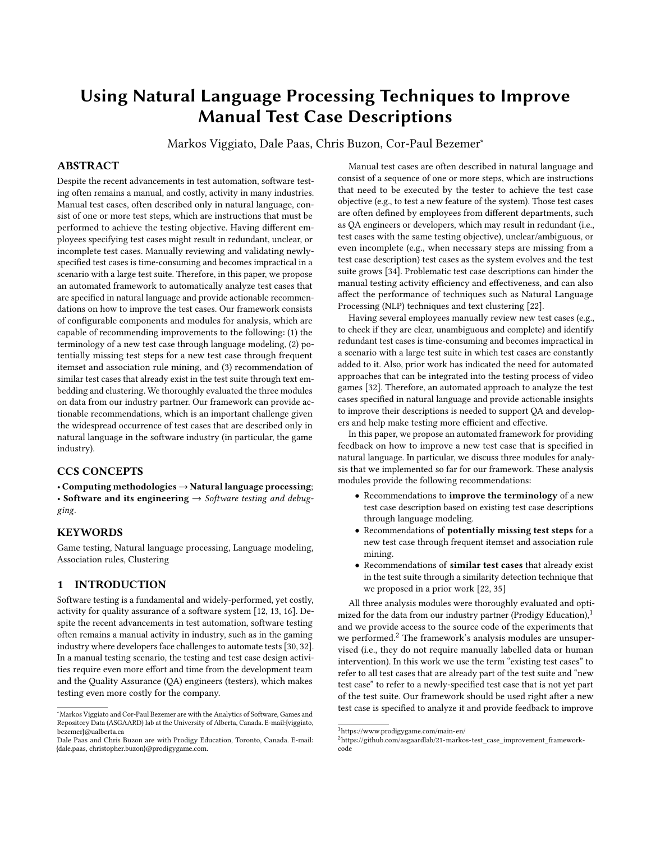For each iteration, we computed the accuracy of the rules' recommendations for a new test case to verify how often the recommended test steps are correct. To do this, for each new test case, we removed one of its test steps at a time, applied the rules to the remaining test steps, and checked if the removed test step was among the test steps recommended by the rules. If it was, the rule made a correct suggestion (1), otherwise it was a wrong suggestion (0). Then, we computed the accuracy (proportion of correct suggestions) using all the selected rules. We followed this process for every test step in a new test case and computed the average and median accuracy for the whole test case. Note that we only selected the rules that have a minimum confidence (*min\_confidence*) and a minimum lift (min\_lift). For our experiments, we used a min\_confidence of 0.5 and a min lift above 1, and a stricter criteria with a min confidence of 1 (the highest possible) and a min\_lift above 1 as well.

4.2.3 Evaluation results. Using a min\_confidence of 0.5 with a min\_lift above 1, we obtained 1,060 association rules to recommend missing test steps for a new test case. Those rules have an average accuracy of 0.72 (and a median of 1) across all the new test cases as we explained in Section [4.2.2.](#page-6-3) This means that, on average, the recommendations by the rules are correct 72% of the time per test case. For a min\_confidence of 1 with a min\_lift above 1, we obtained 475 association rules, which is less than before as we applied a stricter min\_confidence. Those rules have an average accuracy of 0.98 (and a median of 1) across all the new test cases, which means that, on average, the recommendations by the stricter rules were correct 98% of the time per test case.

#### 4.3 Inference phase

Finally, we use the built association rules with high confidence and lift metrics with the test steps of a new test case to recommend test steps that are potentially missing from the new test case. To be consistent, we also apply the trained NER model to the test steps of the new test case to identify and replace game assets' names. We then use two criteria to select strong rules to be used. First, we only select the rules for which the antecedent (left-hand side) matches exactly to the set of test steps of the new test case since we want to suggest other test steps that occurred together with the newly-specified ones. Second, we select the best-performing rules, i.e., only rules with a confidence of 1 (the highest confidence possible) and a lift metric above 1. These criteria help us to ensure we are using strong rules to provide suggestions and reduce false positives.

# <span id="page-7-0"></span>5 THE TEST CASE SIMILARITY ANALYSIS MODULE

Our approach for recommending similar test cases was proposed in our prior work [\[35\]](#page-9-7). The approach consists of two stages: (1) clustering similar test steps using text embedding, text similarity, and clustering techniques (test step-level stage), which is based on the work by Li et al. [\[22\]](#page-9-6) and (2) identifying similar test cases using the clusters of test steps (test case-level stage). Figure [5](#page-7-1) gives an overview of how our approach for identifying similar test cases was integrated as an analysis module which consists of a training phase, evaluation of the models, and an inference phase as we explain

<span id="page-7-1"></span>

Figure 5: Our approach for recommending similar test cases using text embedding and clustering techniques.

below. In this section, we give a concise overview of the approach that was presented in detail in our prior work [\[35\]](#page-9-7).

## 5.1 Training phase

Our approach starts by transforming the test step sentences into one or more numeric vectors (text embedding), which is necessary to apply a machine learning algorithm [\[37\]](#page-9-31). The pairwise distance between test step embeddings is then computed, which we use to capture the similarity between the test steps. In particular, embeddings that are close in the embedding space should represent similar test steps. Finally, our approach leveraged the computed distance to identify clusters of similar test steps (i.e., test steps that have a small distance between them should belong to the same cluster).

In the second stage, our approach leverages the obtained clusters of similar test steps together with the test case name to identify similar test cases. The approach first obtains a numeric representation (i.e., a vector) for each test case based on the clusters to which the test steps of that test case belong, as shown in Figure [5.](#page-7-1) Then, the pairwise similarity between test cases is computed (which we call the test step cluster-based similarity score since it is computed using the test step clusters). Next, to incorporate knowledge from the test case name, the approach embeds the test case names and computes their pairwise similarity (which we call the test case name-based similarity score since it is compute using the test case names). Finally, the approach computes a final similarity score which is a weighted average between the test step cluster-based similarity score and the test case name-based similarity score. In our prior work [\[35\]](#page-9-7), we thoroughly evaluated the described approaches with several different techniques using the data from our industry partner.

#### 5.2 Evaluation

Based on our prior work [\[35\]](#page-9-7), we selected the best performing approach for clustering similar test steps, which uses Word2Vec [\[27\]](#page-9-32)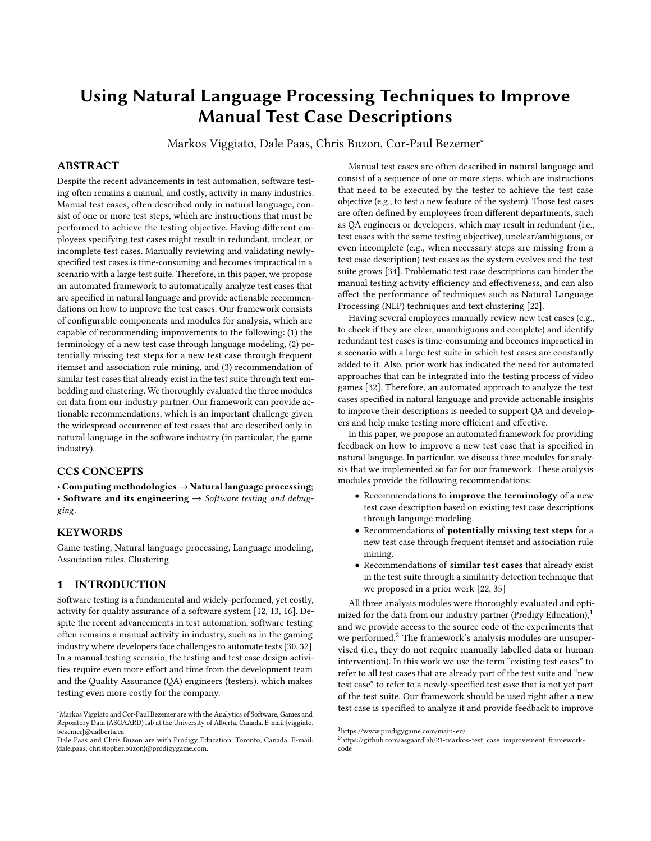to embed the test steps, the Word Mover's Distance (WMD) metric [\[20\]](#page-9-33) to compute the similarity between test step embeddings, and K-means [\[11\]](#page-9-34) to cluster the test steps. We also selected the best-performing approach for identifying similar test cases, which uses cosine to compute the similarity between test cases' numeric representations with an optimal threshold of 0.75. This means that if an existing test case has a final cosine similarity score of more than 0.75 with the new test case, the existing test case is considered a similar test case. Furthermore, our prior work indicated that the optimal balance between the test step cluster-based similarity score and the test case name-based similarity score is 50%.

# 5.3 Inference phase

Finally, in the inference phase, we use the best-performing models to cluster similar test steps (Word2Vec + WMD + k-means) and identify similar test cases to retrieve the existing test cases that are similar to the new test case. Our approach starts by embedding the test steps of the new test case using Word2Vec. Then, the existing test step clusters, obtained with the test step clustering approach, are updated with the new test steps (using the distance between their embeddings). Finally, the approach to identify similar test cases is used to retrieve all the existing test cases that have a cosine similarity score higher than 0.75 compared to the new test case.

# <span id="page-8-0"></span>6 RELATED WORK

In this work, we apply several NLP techniques to automatically analyze and provide feedback to improve the description of test cases specified in natural language. Prior work used those techniques to assist software testing and other software engineering tasks in many different ways, as we discuss below.

Wang et al. [\[36\]](#page-9-35) proposed an approach to automate the generation executable, system-level test cases for acceptance testing from natural language use case specifications. The approach relies on a domain model (i.e., a class diagram) and uses several NLP techniques (e.g., Named Entity Recognition and part-of-speech tagging). Two industrial case studies were used to evaluate the approach, which correctly generated test cases that exercise different scenarios manually implemented by experts. Mai et al. [\[25\]](#page-9-36) proposed an approach to automatically generate executable test cases from use case specifications that capture malicious behavior of users. The evaluation through a case study in the medical domain indicated that the proposed approach can automatically generate test cases that can detect vulnerabilities. Hemmati and Sharifi [\[17\]](#page-9-37) proposed an approach to predict the failure of system-level test cases specified in natural language. The approach relies only on the test case description in natural language and seeks to enhance the performance of history-based prediction models (i.e., models that use test execution failure history) by including natural language features (e.g., obtained through Part-of-Speech tagger) weighted with TF-IDF. The approach evaluation showed that using natural language features improve the performance of the failure prediction model. Finally, Hemmati et al. [\[16\]](#page-9-2) investigated approaches to prioritize test cases described only in natural language. The authors used three types of heuristics for test case prioritization, including topic coverage-based and risk-driven heuristics (using the test case risk of detecting a fault based in its fault detection history).

The aforementioned works used NLP for different tasks, such as to analyze use cases described in natural language and automatically generate executable test cases. In contrast, we use several NLP techniques such as text embedding and Named Entity Recognition as part of an automated framework for automatically analyzing newly-specified manual test cases and providing feedback to improve the test case descriptions.

Language modeling is another NLP technique that has been used in software engineering, mainly for code completion tasks [\[23,](#page-9-11) [29\]](#page-9-38). For instance, while Nguyen et al. [\[29\]](#page-9-38) used program analysis and a statistical language model (n-gram) to develop a technique to complete code, Liu et al. [\[23\]](#page-9-11) used a transformer-based neural architecture to develop multi-task learning based pre-trained language model for code understanding and code generation. Differently from those works, we are the first, to the best of our knowledge, to use language modeling to model test case specifications in natural language and recommend improvements by identifying words in the description that could be replaced by more likely words, based on word usage in previous test cases.

# <span id="page-8-1"></span>7 THREATS TO VALIDITY

A threat to the external validity concerns to the generalizability of our automated framework and its module evaluations. Our findings rely on the test cases from an educational math game and using test cases of a system from a different domain might yield different results. Another threat is that the achieved results might differ if other text embedding, clustering, or frequent itemset mining techniques are used. Future studies should investigate whether our analysis modules can be improved using other techniques.

A threat to the internal validity is related to the selection of the association rules used to recommend missing test steps for a new test case. First, we only use rules with either a confidence above 0.5 or exactly 1 and a lift above 1. Second, our rules only recommend one test step (i.e., there is only one set in the consequent of a rule). Future work should investigate a wider range of the confidence and lift metrics and whether having more than one consequent in a rule improves our missing test step analysis module. Another threat concerns the choice of only one architecture (transformers) for the neural language models. Other model architectures (e.g., RNN/LSTM), should also be investigated. Finally, the evaluations performed for the analysis modules used the existing test cases, which are unoptimized. Even though the test cases were written by experienced QA engineers and developers, at this moment, we are focusing on ensuring that new test cases are improved as much as possible before they are entered into the test suite. In the future, we will also work on improving the existing test cases.

## <span id="page-8-2"></span>8 CONCLUSION

In this paper, we propose an automated framework for automatically analyzing and providing feedback on how to improve the description of manual test cases. We discuss three analysis modules that were implemented for our framework so far. These modules are capable of recommending improvements to the following: (1) the terminology of a new test case, (2) potentially missing test steps for a new test case, and (3) recommendations of similar test cases